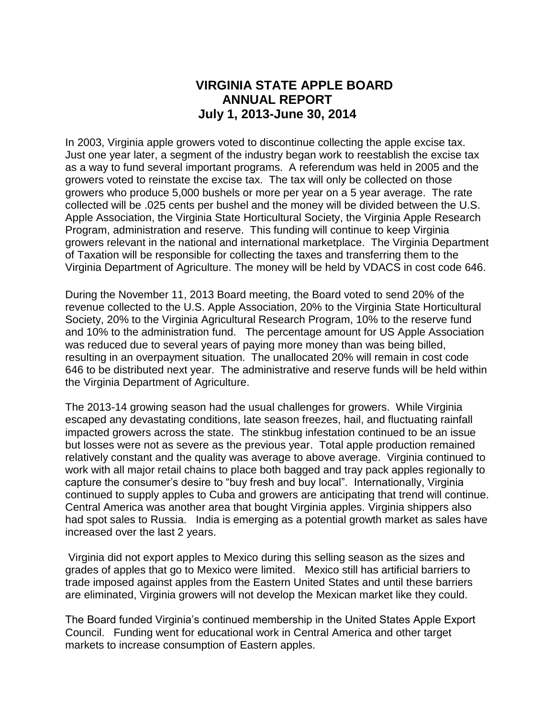# **VIRGINIA STATE APPLE BOARD ANNUAL REPORT July 1, 2013-June 30, 2014**

In 2003, Virginia apple growers voted to discontinue collecting the apple excise tax. Just one year later, a segment of the industry began work to reestablish the excise tax as a way to fund several important programs. A referendum was held in 2005 and the growers voted to reinstate the excise tax. The tax will only be collected on those growers who produce 5,000 bushels or more per year on a 5 year average. The rate collected will be .025 cents per bushel and the money will be divided between the U.S. Apple Association, the Virginia State Horticultural Society, the Virginia Apple Research Program, administration and reserve. This funding will continue to keep Virginia growers relevant in the national and international marketplace. The Virginia Department of Taxation will be responsible for collecting the taxes and transferring them to the Virginia Department of Agriculture. The money will be held by VDACS in cost code 646.

During the November 11, 2013 Board meeting, the Board voted to send 20% of the revenue collected to the U.S. Apple Association, 20% to the Virginia State Horticultural Society, 20% to the Virginia Agricultural Research Program, 10% to the reserve fund and 10% to the administration fund. The percentage amount for US Apple Association was reduced due to several years of paying more money than was being billed, resulting in an overpayment situation. The unallocated 20% will remain in cost code 646 to be distributed next year. The administrative and reserve funds will be held within the Virginia Department of Agriculture.

The 2013-14 growing season had the usual challenges for growers. While Virginia escaped any devastating conditions, late season freezes, hail, and fluctuating rainfall impacted growers across the state. The stinkbug infestation continued to be an issue but losses were not as severe as the previous year. Total apple production remained relatively constant and the quality was average to above average. Virginia continued to work with all major retail chains to place both bagged and tray pack apples regionally to capture the consumer's desire to "buy fresh and buy local". Internationally, Virginia continued to supply apples to Cuba and growers are anticipating that trend will continue. Central America was another area that bought Virginia apples. Virginia shippers also had spot sales to Russia. India is emerging as a potential growth market as sales have increased over the last 2 years.

Virginia did not export apples to Mexico during this selling season as the sizes and grades of apples that go to Mexico were limited. Mexico still has artificial barriers to trade imposed against apples from the Eastern United States and until these barriers are eliminated, Virginia growers will not develop the Mexican market like they could.

The Board funded Virginia's continued membership in the United States Apple Export Council. Funding went for educational work in Central America and other target markets to increase consumption of Eastern apples.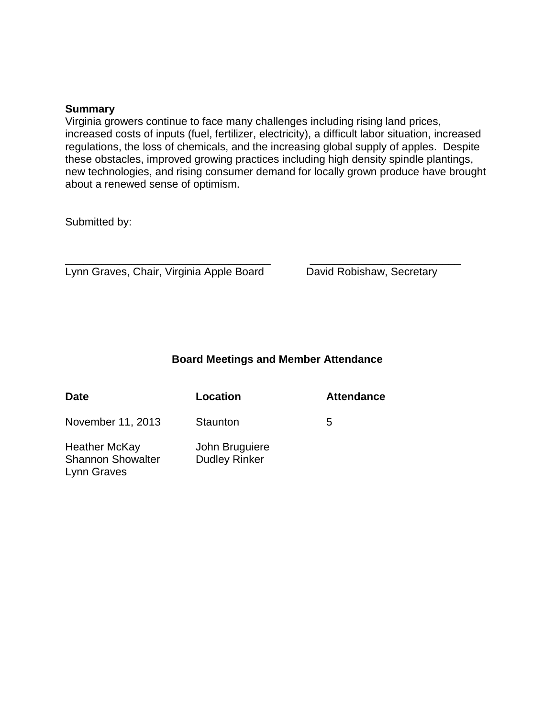#### **Summary**

Virginia growers continue to face many challenges including rising land prices, increased costs of inputs (fuel, fertilizer, electricity), a difficult labor situation, increased regulations, the loss of chemicals, and the increasing global supply of apples. Despite these obstacles, improved growing practices including high density spindle plantings, new technologies, and rising consumer demand for locally grown produce have brought about a renewed sense of optimism.

Submitted by:

 $\overline{\phantom{a}}$  , and the contribution of the contribution of  $\overline{\phantom{a}}$  , and  $\overline{\phantom{a}}$  , and  $\overline{\phantom{a}}$  , and  $\overline{\phantom{a}}$  , and  $\overline{\phantom{a}}$  , and  $\overline{\phantom{a}}$  , and  $\overline{\phantom{a}}$  , and  $\overline{\phantom{a}}$  , and  $\overline{\phantom{a}}$  , and Lynn Graves, Chair, Virginia Apple Board David Robishaw, Secretary

#### **Board Meetings and Member Attendance**

| Date                                                            | Location                               | <b>Attendance</b> |
|-----------------------------------------------------------------|----------------------------------------|-------------------|
| November 11, 2013                                               | Staunton                               | 5                 |
| <b>Heather McKay</b><br><b>Shannon Showalter</b><br>Lynn Graves | John Bruguiere<br><b>Dudley Rinker</b> |                   |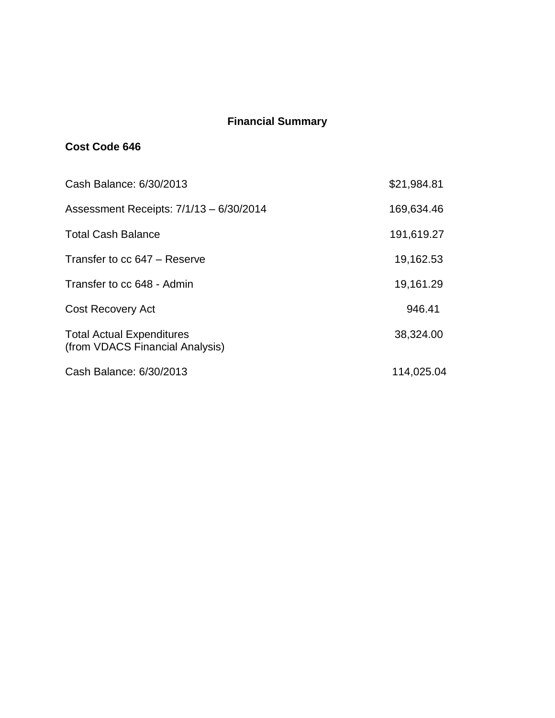## **Financial Summary**

## **Cost Code 646**

| Cash Balance: 6/30/2013                                             | \$21,984.81 |
|---------------------------------------------------------------------|-------------|
| Assessment Receipts: 7/1/13 - 6/30/2014                             | 169,634.46  |
| <b>Total Cash Balance</b>                                           | 191,619.27  |
| Transfer to cc 647 - Reserve                                        | 19,162.53   |
| Transfer to cc 648 - Admin                                          | 19,161.29   |
| <b>Cost Recovery Act</b>                                            | 946.41      |
| <b>Total Actual Expenditures</b><br>(from VDACS Financial Analysis) | 38,324.00   |
| Cash Balance: 6/30/2013                                             | 114,025.04  |